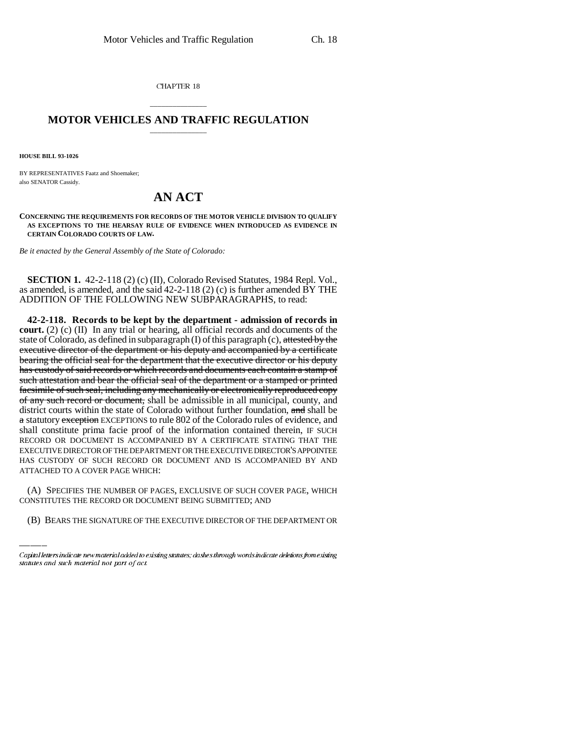CHAPTER 18

## \_\_\_\_\_\_\_\_\_\_\_\_\_\_\_ **MOTOR VEHICLES AND TRAFFIC REGULATION** \_\_\_\_\_\_\_\_\_\_\_\_\_\_\_

**HOUSE BILL 93-1026**

BY REPRESENTATIVES Faatz and Shoemaker; also SENATOR Cassidy.

## **AN ACT**

**CONCERNING THE REQUIREMENTS FOR RECORDS OF THE MOTOR VEHICLE DIVISION TO QUALIFY AS EXCEPTIONS TO THE HEARSAY RULE OF EVIDENCE WHEN INTRODUCED AS EVIDENCE IN CERTAIN COLORADO COURTS OF LAW.**

*Be it enacted by the General Assembly of the State of Colorado:*

**SECTION 1.** 42-2-118 (2) (c) (II), Colorado Revised Statutes, 1984 Repl. Vol., as amended, is amended, and the said  $42-2-118$  (2) (c) is further amended  $\overline{BY}$  THE ADDITION OF THE FOLLOWING NEW SUBPARAGRAPHS, to read:

ATTACHED TO A COVER PAGE WHICH: **42-2-118. Records to be kept by the department - admission of records in court.** (2) (c) (II) In any trial or hearing, all official records and documents of the state of Colorado, as defined in subparagraph  $(I)$  of this paragraph  $(c)$ , attested by the executive director of the department or his deputy and accompanied by a certificate bearing the official seal for the department that the executive director or his deputy has custody of said records or which records and documents each contain a stamp of such attestation and bear the official seal of the department or a stamped or printed facsimile of such seal, including any mechanically or electronically reproduced copy of any such record or document, shall be admissible in all municipal, county, and district courts within the state of Colorado without further foundation, and shall be a statutory exception EXCEPTIONS to rule 802 of the Colorado rules of evidence, and shall constitute prima facie proof of the information contained therein, IF SUCH RECORD OR DOCUMENT IS ACCOMPANIED BY A CERTIFICATE STATING THAT THE EXECUTIVE DIRECTOR OF THE DEPARTMENT OR THE EXECUTIVE DIRECTOR'S APPOINTEE HAS CUSTODY OF SUCH RECORD OR DOCUMENT AND IS ACCOMPANIED BY AND

(A) SPECIFIES THE NUMBER OF PAGES, EXCLUSIVE OF SUCH COVER PAGE, WHICH CONSTITUTES THE RECORD OR DOCUMENT BEING SUBMITTED; AND

(B) BEARS THE SIGNATURE OF THE EXECUTIVE DIRECTOR OF THE DEPARTMENT OR

Capital letters indicate new material added to existing statutes; dashes through words indicate deletions from existing statutes and such material not part of act.